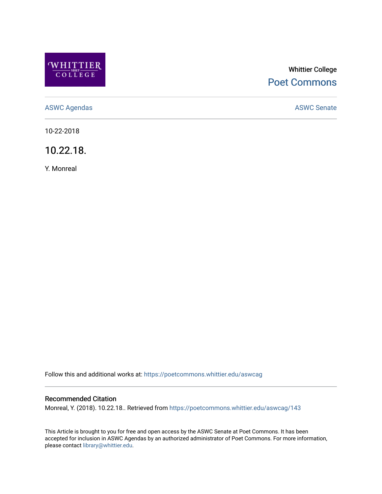

# Whittier College [Poet Commons](https://poetcommons.whittier.edu/)

[ASWC Agendas](https://poetcommons.whittier.edu/aswcag) **ASWC Senate** 

10-22-2018

10.22.18.

Y. Monreal

Follow this and additional works at: [https://poetcommons.whittier.edu/aswcag](https://poetcommons.whittier.edu/aswcag?utm_source=poetcommons.whittier.edu%2Faswcag%2F143&utm_medium=PDF&utm_campaign=PDFCoverPages) 

## Recommended Citation

Monreal, Y. (2018). 10.22.18.. Retrieved from [https://poetcommons.whittier.edu/aswcag/143](https://poetcommons.whittier.edu/aswcag/143?utm_source=poetcommons.whittier.edu%2Faswcag%2F143&utm_medium=PDF&utm_campaign=PDFCoverPages) 

This Article is brought to you for free and open access by the ASWC Senate at Poet Commons. It has been accepted for inclusion in ASWC Agendas by an authorized administrator of Poet Commons. For more information, please contact [library@whittier.edu](mailto:library@whittier.edu).